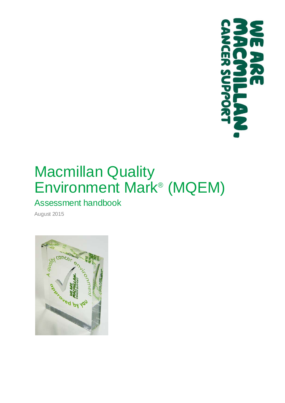

# Macmillan Quality Environment Mark® (MQEM)

# Assessment handbook

August 2015

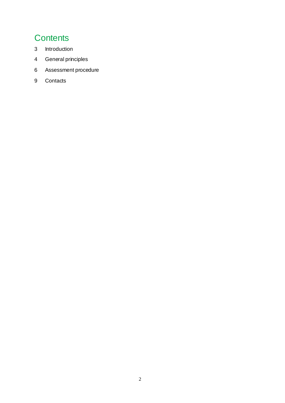### **Contents**

- Introduction
- General principles
- Assessment procedure
- Contacts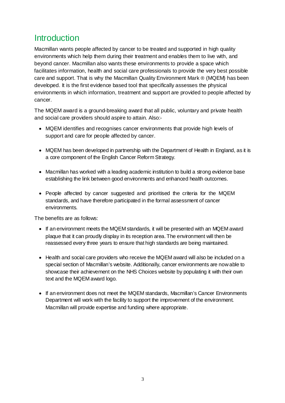## **Introduction**

Macmillan wants people affected by cancer to be treated and supported in high quality environments which help them during their treatment and enables them to live with, and beyond cancer. Macmillan also wants these environments to provide a space which facilitates information, health and social care professionals to provide the very best possible care and support. That is why the Macmillan Quality Environment Mark ® (MQEM) has been developed. It is the first evidence based tool that specifically assesses the physical environments in which information, treatment and support are provided to people affected by cancer.

The MQEM award is a ground-breaking award that all public, voluntary and private health and social care providers should aspire to attain. Also:-

- MQEM identifies and recognises cancer environments that provide high levels of support and care for people affected by cancer.
- MQEM has been developed in partnership with the Department of Health in England, as it is a core component of the English Cancer Reform Strategy.
- Macmillan has worked with a leading academic institution to build a strong evidence base establishing the link between good environments and enhanced health outcomes.
- People affected by cancer suggested and prioritised the criteria for the MQEM standards, and have therefore participated in the formal assessment of cancer environments.

The benefits are as follows:

- If an environment meets the MQEM standards, it will be presented with an MQEM award plaque that it can proudly display in its reception area. The environment will then be reassessed every three years to ensure that high standards are being maintained.
- Health and social care providers who receive the MQEM award will also be included on a special section of Macmillan's website. Additionally, cancer environments are now able to showcase their achievement on the NHS Choices website by populating it with their own text and the MQEM award logo.
- If an environment does not meet the MQEM standards, Macmillan's Cancer Environments Department will work with the facility to support the improvement of the environment. Macmillan will provide expertise and funding where appropriate.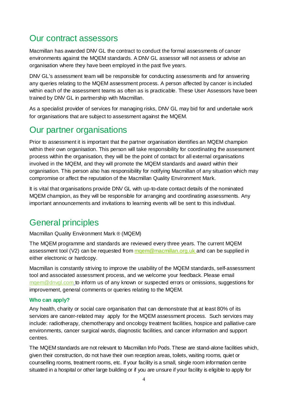### Our contract assessors

Macmillan has awarded DNV GL the contract to conduct the formal assessments of cancer environments against the MQEM standards. A DNV GL assessor will not assess or advise an organisation where they have been employed in the past five years.

DNV GL's assessment team will be responsible for conducting assessments and for answering any queries relating to the MQEM assessment process. A person affected by cancer is included within each of the assessment teams as often as is practicable. These User Assessors have been trained by DNV GL in partnership with Macmillan.

As a specialist provider of services for managing risks, DNV GL may bid for and undertake work for organisations that are subject to assessment against the MQEM.

### Our partner organisations

Prior to assessment it is important that the partner organisation identifies an MQEM champion within their own organisation. This person will take responsibility for coordinating the assessment process within the organisation, they will be the point of contact for all external organisations involved in the MQEM, and they will promote the MQEM standards and award within their organisation. This person also has responsibility for notifying Macmillan of any situation which may compromise or affect the reputation of the Macmillan Quality Environment Mark.

It is vital that organisations provide DNV GL with up-to-date contact details of the nominated MQEM champion, as they will be responsible for arranging and coordinating assessments. Any important announcements and invitations to learning events will be sent to this individual.

# General principles

Macmillan Quality Environment Mark ® (MQEM)

The MQEM programme and standards are reviewed every three years. The current MQEM assessment tool (V2) can be requested from mgem@macmillan.org.uk and can be supplied in either electronic or hardcopy.

Macmillan is constantly striving to improve the usability of the MQEM standards, self-assessment tool and associated assessment process, and we welcome your feedback. Please email [mqem@dnvgl.com](mailto:mqem@dnvgl.com) to inform us of any known or suspected errors or omissions, suggestions for improvement, general comments or queries relating to the MQEM.

#### **Who can apply?**

Any health, charity or social care organisation that can demonstrate that at least 80% of its services are cancer-related may apply for the MQEM assessment process. Such services may include: radiotherapy, chemotherapy and oncology treatment facilities, hospice and palliative care environments, cancer surgical wards, diagnostic facilities, and cancer information and support centres.

The MQEM standards are not relevant to Macmillan Info Pods. These are stand-alone facilities which, given their construction, do not have their own reception areas, toilets, waiting rooms, quiet or counselling rooms, treatment rooms, etc. If your facility is a small, single room information centre situated in a hospital or other large building or if you are unsure if your facility is eligible to apply for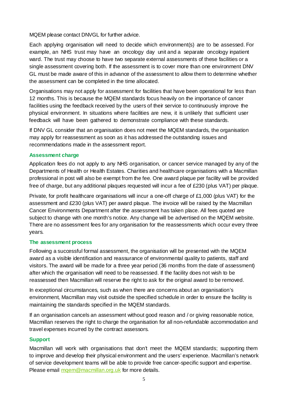MQEM please contact DNVGL for further advice.

Each applying organisation will need to decide which environment(s) are to be assessed. For example, an NHS trust may have an oncology day unit and a separate oncology inpatient ward. The trust may choose to have two separate external assessments of these facilities or a single assessment covering both. If the assessment is to cover more than one environment DNV GL must be made aware of this in advance of the assessment to allow them to determine whether the assessment can be completed in the time allocated.

Organisations may not apply for assessment for facilities that have been operational for less than 12 months. This is because the MQEM standards focus heavily on the importance of cancer facilities using the feedback received by the users of their service to continuously improve the physical environment. In situations where facilities are new, it is unlikely that sufficient user feedback will have been gathered to demonstrate compliance with these standards.

If DNV GL consider that an organisation does not meet the MQEM standards, the organisation may apply for reassessment as soon as it has addressed the outstanding issues and recommendations made in the assessment report.

#### **Assessment charge**

Application fees do not apply to any NHS organisation, or cancer service managed by any of the Departments of Health or Health Estates. Charities and healthcare organisations with a Macmillan professional in post will also be exempt from the fee. One award plaque per facility will be provided free of charge, but any additional plaques requested will incur a fee of £230 (plus VAT) per plaque.

Private, for profit healthcare organisations will incur a one-off charge of £1,000 (plus VAT) for the assessment and £230 (plus VAT) per award plaque. The invoice will be raised by the Macmillan Cancer Environments Department after the assessment has taken place. All fees quoted are subject to change with one month's notice. Any change will be advertised on the MQEM website. There are no assessment fees for any organisation for the reassessments which occur every three years.

#### **The assessment process**

Following a successful formal assessment, the organisation will be presented with the MQEM award as a visible identification and reassurance of environmental quality to patients, staff and visitors. The award will be made for a three year period (36 months from the date of assessment) after which the organisation will need to be reassessed. If the facility does not wish to be reassessed then Macmillan will reserve the right to ask for the original award to be removed.

In exceptional circumstances, such as when there are concerns about an organisation's environment, Macmillan may visit outside the specified schedule in order to ensure the facility is maintaining the standards specified in the MQEM standards.

If an organisation cancels an assessment without good reason and / or giving reasonable notice, Macmillan reserves the right to charge the organisation for all non-refundable accommodation and travel expenses incurred by the contract assessors.

#### **Support**

Macmillan will work with organisations that don't meet the MQEM standards; supporting them to improve and develop their physical environment and the users' experience. Macmillan's network of service development teams will be able to provide free cancer-specific support and expertise. Please email mgem@macmillan.org.uk for more details.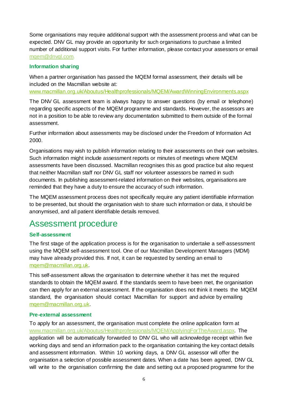Some organisations may require additional support with the assessment process and what can be expected. DNV GL may provide an opportunity for such organisations to purchase a limited number of additional support visits. For further information, please contact your assessors or email [mqem@dnvgl.com.](mailto:mqem@dnvgl.com)

#### **Information sharing**

When a partner organisation has passed the MQEM formal assessment, their details will be included on the Macmillan website at:

[www.macmillan.org.uk/Aboutus/Healthprofessionals/MQEM/AwardWinningEnvironments.aspx](http://www.macmillan.org.uk/Aboutus/Healthprofessionals/MQEM/AwardWinningEnvironments.aspx)

The DNV GL assessment team is always happy to answer questions (by email or telephone) regarding specific aspects of the MQEM programme and standards. However, the assessors are not in a position to be able to review any documentation submitted to them outside of the formal assessment.

Further information about assessments may be disclosed under the Freedom of Information Act 2000.

Organisations may wish to publish information relating to their assessments on their own websites. Such information might include assessment reports or minutes of meetings where MQEM assessments have been discussed. Macmillan recognises this as good practice but also request that neither Macmillan staff nor DNV GL staff nor volunteer assessors be named in such documents. In publishing assessment-related information on their websites, organisations are reminded that they have a duty to ensure the accuracy of such information.

The MQEM assessment process does not specifically require any patient identifiable information to be presented, but should the organisation wish to share such information or data, it should be anonymised, and all patient identifiable details removed.

### Assessment procedure

#### **Self-assessment**

The first stage of the application process is for the organisation to undertake a self-assessment using the MQEM self-assessment tool. One of our Macmillan Development Managers (MDM) may have already provided this. If not, it can be requested by sending an email to [mqem@macmillan.org.uk.](mailto:mqem@macmillan.org.uk)

This self-assessment allows the organisation to determine whether it has met the required standards to obtain the MQEM award. If the standards seem to have been met, the organisation can then apply for an external assessment. If the organisation does not think it meets the MQEM standard, the organisation should contact Macmillan for support and advice by emailing [mqem@macmillan.org.uk.](mailto:mqem@macmillan.org.uk)

#### **Pre-external assessment**

To apply for an assessment, the organisation must complete the online application form at [www.macmillan.org.uk/Aboutus/Healthprofessionals/MQEM/ApplyingForTheAward.aspx.](http://www.macmillan.org.uk/Aboutus/Healthprofessionals/MQEM/ApplyingForTheAward.aspx) The application will be automatically forwarded to DNV GL who will acknowledge receipt within five working days and send an information pack to the organisation containing the key contact details and assessment information. Within 10 working days, a DNV GL assessor will offer the organisation a selection of possible assessment dates. When a date has been agreed, DNV GL will write to the organisation confirming the date and setting out a proposed programme for the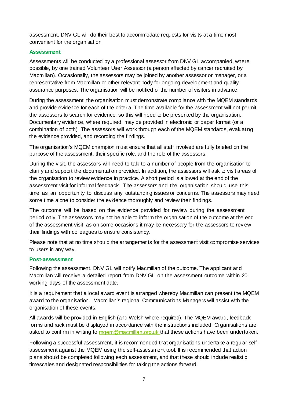assessment. DNV GL will do their best to accommodate requests for visits at a time most convenient for the organisation.

#### **Assessment**

Assessments will be conducted by a professional assessor from DNV GL accompanied, where possible, by one trained Volunteer User Assessor (a person affected by cancer recruited by Macmillan). Occasionally, the assessors may be joined by another assessor or manager, or a representative from Macmillan or other relevant body for ongoing development and quality assurance purposes. The organisation will be notified of the number of visitors in advance.

During the assessment, the organisation must demonstrate compliance with the MQEM standards and provide evidence for each of the criteria. The time available for the assessment will not permit the assessors to search for evidence, so this will need to be presented by the organisation. Documentary evidence, where required, may be provided in electronic or paper format (or a combination of both). The assessors will work through each of the MQEM standards, evaluating the evidence provided, and recording the findings.

The organisation's MQEM champion must ensure that all staff involved are fully briefed on the purpose of the assessment, their specific role, and the role of the assessors.

During the visit, the assessors will need to talk to a number of people from the organisation to clarify and support the documentation provided. In addition, the assessors will ask to visit areas of the organisation to review evidence in practice. A short period is allowed at the end of the assessment visit for informal feedback. The assessors and the organisation should use this time as an opportunity to discuss any outstanding issues or concerns. The assessors may need some time alone to consider the evidence thoroughly and review their findings.

The outcome will be based on the evidence provided for review during the assessment period only. The assessors may not be able to inform the organisation of the outcome at the end of the assessment visit, as on some occasions it may be necessary for the assessors to review their findings with colleagues to ensure consistency.

Please note that at no time should the arrangements for the assessment visit compromise services to users in any way.

#### **Post-assessment**

Following the assessment, DNV GL will notify Macmillan of the outcome. The applicant and Macmillan will receive a detailed report from DNV GL on the assessment outcome within 20 working days of the assessment date.

It is a requirement that a local award event is arranged whereby Macmillan can present the MQEM award to the organisation. Macmillan's regional Communications Managers will assist with the organisation of these events.

All awards will be provided in English (and Welsh where required). The MQEM award, feedback forms and rack must be displayed in accordance with the instructions included. Organisations are asked to confirm in writing to morem@macmillan.org.uk that these actions have been undertaken.

Following a successful assessment, it is recommended that organisations undertake a regular selfassessment against the MQEM using the self-assessment tool. It is recommended that action plans should be completed following each assessment, and that these should include realistic timescales and designated responsibilities for taking the actions forward.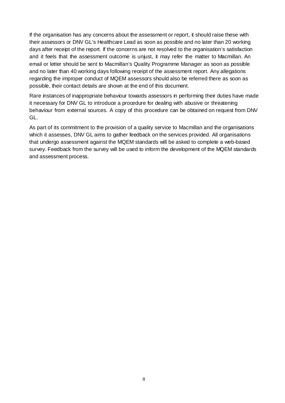If the organisation has any concerns about the assessment or report, it should raise these with their assessors or DNV GL's Healthcare Lead as soon as possible and no later than 20 working days after receipt of the report. If the concerns are not resolved to the organisation's satisfaction and it feels that the assessment outcome is unjust, it may refer the matter to Macmillan. An email or letter should be sent to Macmillan's Quality Programme Manager as soon as possible and no later than 40 working days following receipt of the assessment report. Any allegations regarding the improper conduct of MQEM assessors should also be referred there as soon as possible, their contact details are shown at the end of this document.

Rare instances of inappropriate behaviour towards assessors in performing their duties have made it necessary for DNV GL to introduce a procedure for dealing with abusive or threatening behaviour from external sources*.* A copy of this procedure can be obtained on request from DNV GL.

As part of its commitment to the provision of a quality service to Macmillan and the organisations which it assesses, DNV GL aims to gather feedback on the services provided. All organisations that undergo assessment against the MQEM standards will be asked to complete a web-based survey. Feedback from the survey will be used to inform the development of the MQEM standards and assessment process.